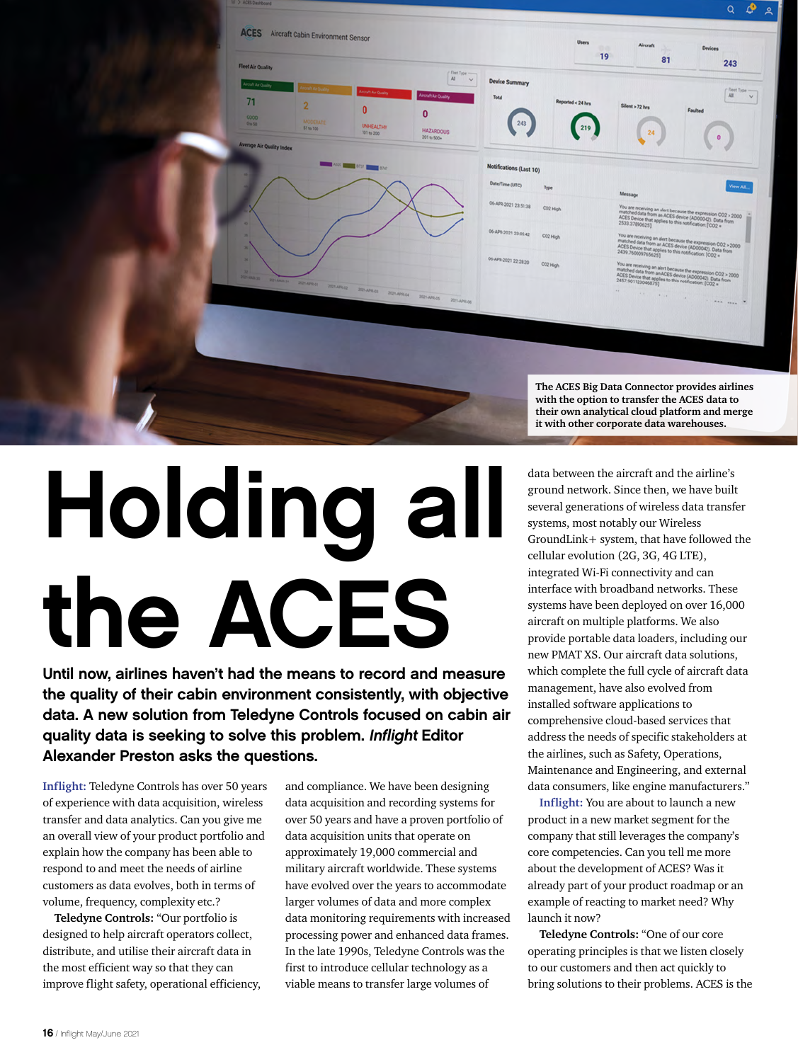

## Holding all the ACES

Until now, airlines haven't had the means to record and measure the quality of their cabin environment consistently, with objective data. A new solution from Teledyne Controls focused on cabin air quality data is seeking to solve this problem. Inflight Editor Alexander Preston asks the questions.

**Inflight:** Teledyne Controls has over 50 years of experience with data acquisition, wireless transfer and data analytics. Can you give me an overall view of your product portfolio and explain how the company has been able to respond to and meet the needs of airline customers as data evolves, both in terms of volume, frequency, complexity etc.?

**Teledyne Controls:** "Our portfolio is designed to help aircraft operators collect, distribute, and utilise their aircraft data in the most efficient way so that they can improve flight safety, operational efficiency, and compliance. We have been designing data acquisition and recording systems for over 50 years and have a proven portfolio of data acquisition units that operate on approximately 19,000 commercial and military aircraft worldwide. These systems have evolved over the years to accommodate larger volumes of data and more complex data monitoring requirements with increased processing power and enhanced data frames. In the late 1990s, Teledyne Controls was the first to introduce cellular technology as a viable means to transfer large volumes of

data between the aircraft and the airline's **it with other corporate data warehouses.**

ground network. Since then, we have built several generations of wireless data transfer systems, most notably our Wireless GroundLink+ system, that have followed the cellular evolution (2G, 3G, 4G LTE), integrated Wi-Fi connectivity and can interface with broadband networks. These systems have been deployed on over 16,000 aircraft on multiple platforms. We also provide portable data loaders, including our new PMAT XS. Our aircraft data solutions, which complete the full cycle of aircraft data management, have also evolved from installed software applications to comprehensive cloud-based services that address the needs of specific stakeholders at the airlines, such as Safety, Operations, Maintenance and Engineering, and external data consumers, like engine manufacturers."

**Inflight:** You are about to launch a new product in a new market segment for the company that still leverages the company's core competencies. Can you tell me more about the development of ACES? Was it already part of your product roadmap or an example of reacting to market need? Why launch it now?

**Teledyne Controls:** "One of our core operating principles is that we listen closely to our customers and then act quickly to bring solutions to their problems. ACES is the